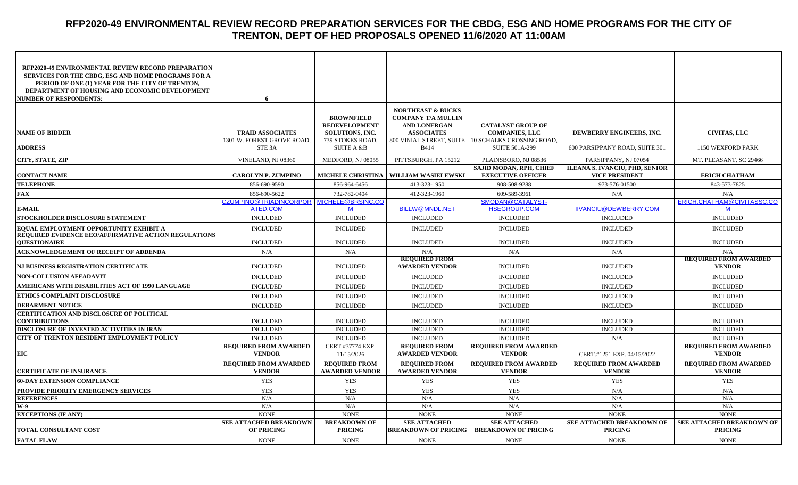# **RFP2020-49 ENVIRONMENTAL REVIEW RECORD PREPARATION SERVICES FOR THE CBDG, ESG AND HOME PROGRAMS FOR THE CITY OF TRENTON, DEPT OF HED PROPOSALS OPENED 11/6/2020 AT 11:00AM**

| RFP2020-49 ENVIRONMENTAL REVIEW RECORD PREPARATION<br><b>SERVICES FOR THE CBDG, ESG AND HOME PROGRAMS FOR A</b> |                                                    |                                               |                                                    |                                                     |                                                         |                                               |
|-----------------------------------------------------------------------------------------------------------------|----------------------------------------------------|-----------------------------------------------|----------------------------------------------------|-----------------------------------------------------|---------------------------------------------------------|-----------------------------------------------|
| PERIOD OF ONE (1) YEAR FOR THE CITY OF TRENTON,                                                                 |                                                    |                                               |                                                    |                                                     |                                                         |                                               |
| <b>DEPARTMENT OF HOUSING AND ECONOMIC DEVELOPMENT</b>                                                           |                                                    |                                               |                                                    |                                                     |                                                         |                                               |
| <b>NUMBER OF RESPONDENTS:</b>                                                                                   | 6                                                  |                                               |                                                    |                                                     |                                                         |                                               |
|                                                                                                                 |                                                    | <b>BROWNFIELD</b>                             | <b>NORTHEAST &amp; BUCKS</b>                       |                                                     |                                                         |                                               |
|                                                                                                                 |                                                    | <b>REDEVELOPMENT</b>                          | <b>COMPANY T/A MULLIN</b><br><b>AND LONERGAN</b>   | <b>CATALYST GROUP OF</b>                            |                                                         |                                               |
| <b>NAME OF BIDDER</b>                                                                                           | <b>TRAID ASSOCIATES</b>                            | <b>SOLUTIONS, INC.</b>                        | <b>ASSOCIATES</b>                                  | <b>COMPANIES, LLC</b>                               | DEWBERRY ENGINEERS, INC.                                | <b>CIVITAS, LLC</b>                           |
|                                                                                                                 | 1301 W. FOREST GROVE ROAD,                         | 739 STOKES ROAD,                              | 800 VINIAL STREET, SUITE                           | <b>10 SCHALKS CROSSING ROAD,</b>                    |                                                         |                                               |
| <b>ADDRESS</b>                                                                                                  | STE <sub>3</sub> A                                 | <b>SUITE A &amp;B</b>                         | <b>B</b> 414                                       | <b>SUITE 501A-299</b>                               | 600 PARSIPPANY ROAD, SUITE 301                          | 1150 WEXFORD PARK                             |
| CITY, STATE, ZIP                                                                                                | VINELAND, NJ 08360                                 | MEDFORD, NJ 08055                             | PITTSBURGH, PA 15212                               | PLAINSBORO, NJ 08536                                | PARSIPPANY, NJ 07054                                    | MT. PLEASANT, SC 29466                        |
| <b>CONTACT NAME</b>                                                                                             | <b>CAROLYN P. ZUMPINO</b>                          | <b>MICHELE CHRISTINA</b>                      | <b>WILLIAM WASIELEWSKI</b>                         | SAJID MODAN, RPH, CHIEF<br><b>EXECUTIVE OFFICER</b> | ILEANA S. IVANCIU, PHD, SENIOR<br><b>VICE PRESIDENT</b> | <b>ERICH CHATHAM</b>                          |
| <b>TELEPHONE</b>                                                                                                | 856-690-9590                                       | 856-964-6456                                  | 413-323-1950                                       | 908-508-9288                                        | 973-576-01500                                           | 843-573-7825                                  |
| <b>FAX</b>                                                                                                      | 856-690-5622                                       | 732-782-0404                                  | 412-323-1969                                       | 609-589-3961                                        | N/A                                                     | N/A                                           |
|                                                                                                                 | CZUMPINO@TRIADINCORPOR                             | MICHELE@BRSINC.CO                             |                                                    | SMODAN@CATALYST-                                    |                                                         | ERICH.CHATHAM@CIVITASSC.CO                    |
| <b>E-MAIL</b>                                                                                                   | ATED.COM                                           | M                                             | <b>BILLW@MNDL.NET</b>                              | <b>HSEGROUP.COM</b>                                 | IIVANCIU@DEWBERRY.COM                                   | M                                             |
| STOCKHOLDER DISCLOSURE STATEMENT                                                                                | <b>INCLUDED</b>                                    | <b>INCLUDED</b>                               | <b>INCLUDED</b>                                    | <b>INCLUDED</b>                                     | <b>INCLUDED</b>                                         | <b>INCLUDED</b>                               |
| EQUAL EMPLOYMENT OPPORTUNITY EXHIBIT A<br><b>REQUIRED EVIDENCE EEO/AFFIRMATIVE ACTION REGULATIONS</b>           | <b>INCLUDED</b>                                    | <b>INCLUDED</b>                               | <b>INCLUDED</b>                                    | <b>INCLUDED</b>                                     | <b>INCLUDED</b>                                         | <b>INCLUDED</b>                               |
| <b>IOUESTIONAIRE</b>                                                                                            | <b>INCLUDED</b>                                    | <b>INCLUDED</b>                               | <b>INCLUDED</b>                                    | <b>INCLUDED</b>                                     | <b>INCLUDED</b>                                         | <b>INCLUDED</b>                               |
|                                                                                                                 |                                                    |                                               |                                                    |                                                     |                                                         |                                               |
| <b>ACKNOWLEDGEMENT OF RECEIPT OF ADDENDA</b>                                                                    | N/A                                                | N/A                                           | N/A                                                | N/A                                                 | N/A                                                     | N/A                                           |
|                                                                                                                 |                                                    |                                               | <b>REQUIRED FROM</b>                               |                                                     |                                                         | <b>REQUIRED FROM AWARDED</b>                  |
| <b>NJ BUSINESS REGISTRATION CERTIFICATE</b>                                                                     | <b>INCLUDED</b>                                    | <b>INCLUDED</b>                               | <b>AWARDED VENDOR</b>                              | <b>INCLUDED</b>                                     | <b>INCLUDED</b>                                         | <b>VENDOR</b>                                 |
| <b>NON-COLLUSION AFFADAVIT</b>                                                                                  | <b>INCLUDED</b>                                    | <b>INCLUDED</b>                               | <b>INCLUDED</b>                                    | <b>INCLUDED</b>                                     | <b>INCLUDED</b>                                         | <b>INCLUDED</b>                               |
| AMERICANS WITH DISABILITIES ACT OF 1990 LANGUAGE                                                                | <b>INCLUDED</b>                                    | <b>INCLUDED</b>                               | <b>INCLUDED</b>                                    | <b>INCLUDED</b>                                     | <b>INCLUDED</b>                                         | <b>INCLUDED</b>                               |
| ETHICS COMPLAINT DISCLOSURE                                                                                     | <b>INCLUDED</b>                                    | <b>INCLUDED</b>                               | <b>INCLUDED</b>                                    | <b>INCLUDED</b>                                     | <b>INCLUDED</b>                                         | <b>INCLUDED</b>                               |
| <b>DEBARMENT NOTICE</b>                                                                                         | <b>INCLUDED</b>                                    | <b>INCLUDED</b>                               | <b>INCLUDED</b>                                    | <b>INCLUDED</b>                                     | <b>INCLUDED</b>                                         | <b>INCLUDED</b>                               |
| <b>CERTIFICATION AND DISCLOSURE OF POLITICAL</b><br><b>CONTRIBUTIONS</b>                                        | <b>INCLUDED</b>                                    | <b>INCLUDED</b>                               | <b>INCLUDED</b>                                    | <b>INCLUDED</b>                                     | <b>INCLUDED</b>                                         | <b>INCLUDED</b>                               |
| DISCLOSURE OF INVESTED ACTIVITIES IN IRAN                                                                       | <b>INCLUDED</b>                                    | <b>INCLUDED</b>                               | <b>INCLUDED</b>                                    | <b>INCLUDED</b>                                     | <b>INCLUDED</b>                                         | <b>INCLUDED</b>                               |
| CITY OF TRENTON RESIDENT EMPLOYMENT POLICY                                                                      | <b>INCLUDED</b>                                    | <b>INCLUDED</b>                               | <b>INCLUDED</b>                                    | <b>INCLUDED</b>                                     | N/A                                                     | <b>INCLUDED</b>                               |
|                                                                                                                 | <b>REQUIRED FROM AWARDED</b>                       | CERT.#37774 EXP.                              | <b>REQUIRED FROM</b>                               | <b>REQUIRED FROM AWARDED</b>                        |                                                         | <b>REQUIRED FROM AWARDED</b>                  |
| EIC                                                                                                             | <b>VENDOR</b>                                      | 11/15/2026                                    | <b>AWARDED VENDOR</b>                              | <b>VENDOR</b>                                       | CERT.#1251 EXP. 04/15/2022                              | <b>VENDOR</b>                                 |
| <b>CERTIFICATE OF INSURANCE</b>                                                                                 | <b>REQUIRED FROM AWARDED</b><br><b>VENDOR</b>      | <b>REOUIRED FROM</b><br><b>AWARDED VENDOR</b> | <b>REQUIRED FROM</b><br><b>AWARDED VENDOR</b>      | <b>REQUIRED FROM AWARDED</b><br><b>VENDOR</b>       | <b>REQUIRED FROM AWARDED</b><br><b>VENDOR</b>           | <b>REQUIRED FROM AWARDED</b><br><b>VENDOR</b> |
| <b>60-DAY EXTENSION COMPLIANCE</b>                                                                              | <b>YES</b>                                         | <b>YES</b>                                    | <b>YES</b>                                         | <b>YES</b>                                          | <b>YES</b>                                              | <b>YES</b>                                    |
| <b>PROVIDE PRIORITY EMERGENCY SERVICES</b>                                                                      | <b>YES</b>                                         | <b>YES</b>                                    | <b>YES</b>                                         | <b>YES</b>                                          | N/A                                                     | N/A                                           |
| <b>REFERENCES</b>                                                                                               | N/A                                                | N/A                                           | N/A                                                | N/A                                                 | N/A                                                     | N/A                                           |
| W-9                                                                                                             | N/A                                                | N/A                                           | N/A                                                | N/A                                                 | N/A                                                     | N/A                                           |
| <b>EXCEPTIONS (IF ANY)</b>                                                                                      | <b>NONE</b>                                        | <b>NONE</b>                                   | <b>NONE</b>                                        | <b>NONE</b>                                         | <b>NONE</b>                                             | <b>NONE</b>                                   |
| <b>TOTAL CONSULTANT COST</b>                                                                                    | <b>SEE ATTACHED BREAKDOWN</b><br><b>OF PRICING</b> | <b>BREAKDOWN OF</b><br><b>PRICING</b>         | <b>SEE ATTACHED</b><br><b>BREAKDOWN OF PRICING</b> | <b>SEE ATTACHED</b><br><b>BREAKDOWN OF PRICING</b>  | SEE ATTACHED BREAKDOWN OF<br><b>PRICING</b>             | SEE ATTACHED BREAKDOWN OF<br><b>PRICING</b>   |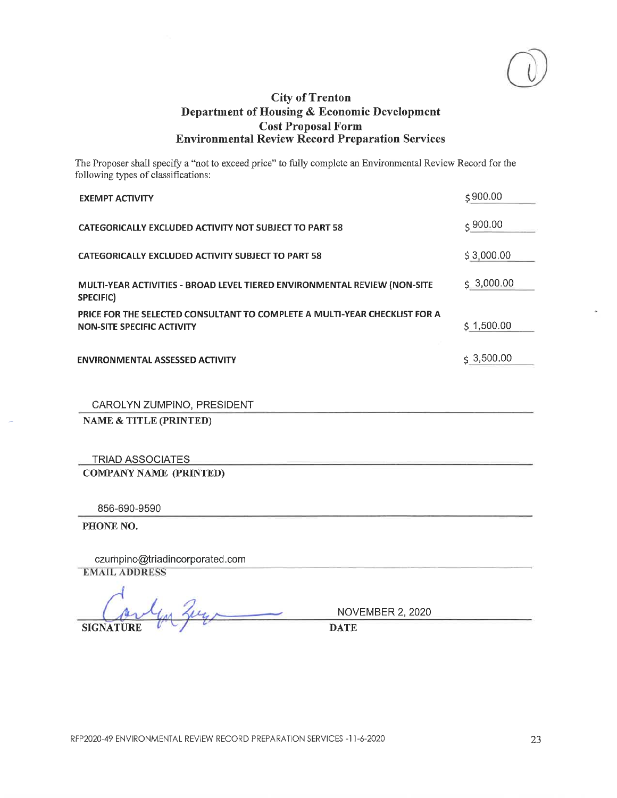

The Proposer shall specify a "not to exceed price" to fully complete an Environmental Review Record for the following types of classifications:

| <b>EXEMPT ACTIVITY</b>                                                                                          | \$900.00               |
|-----------------------------------------------------------------------------------------------------------------|------------------------|
| <b>CATEGORICALLY EXCLUDED ACTIVITY NOT SUBJECT TO PART 58</b>                                                   | $\lesssim$ 900.00      |
| CATEGORICALLY EXCLUDED ACTIVITY SUBJECT TO PART 58                                                              | \$3,000.00             |
| MULTI-YEAR ACTIVITIES - BROAD LEVEL TIERED ENVIRONMENTAL REVIEW (NON-SITE<br>SPECIFIC)                          | $\frac{1}{5}$ 3,000.00 |
| PRICE FOR THE SELECTED CONSULTANT TO COMPLETE A MULTI-YEAR CHECKLIST FOR A<br><b>NON-SITE SPECIFIC ACTIVITY</b> | \$1,500.00             |
| <b>ENVIRONMENTAL ASSESSED ACTIVITY</b>                                                                          | $\lesssim 3,500.00$    |

CAROLYN ZUMPINO, PRESIDENT

**NAME & TITLE (PRINTED)** 

**TRIAD ASSOCIATES COMPANY NAME (PRINTED)** 

856-690-9590

PHONE NO.

czumpino@triadincorporated.com **EMAIL ADDRESS** 

**SIGNATURE** 

**NOVEMBER 2, 2020** 

**DATE**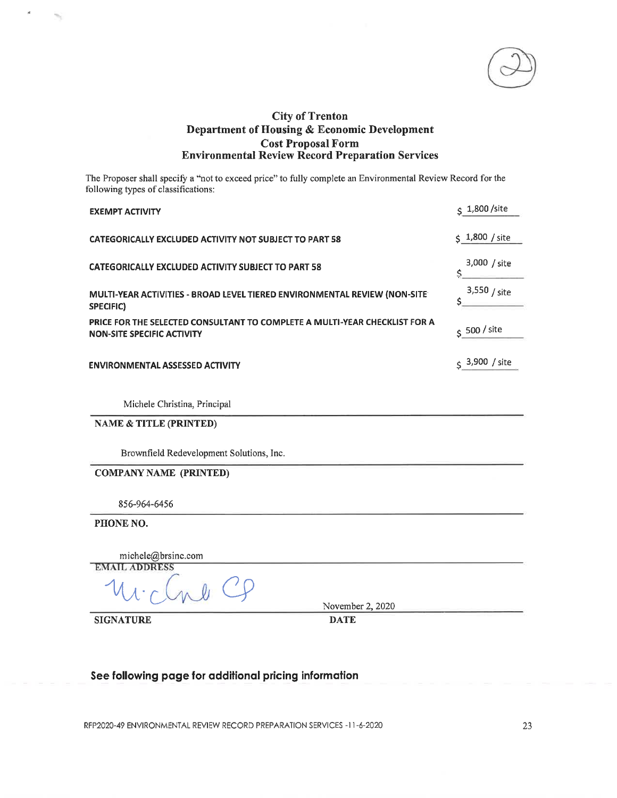The Proposer shall specify a "not to exceed price" to fully complete an Environmental Review Record for the following types of classifications:

| <b>EXEMPT ACTIVITY</b>                                                                                          | \$ 1,800 / site      |
|-----------------------------------------------------------------------------------------------------------------|----------------------|
| CATEGORICALLY EXCLUDED ACTIVITY NOT SUBJECT TO PART 58                                                          | $\zeta$ 1,800 / site |
| <b>CATEGORICALLY EXCLUDED ACTIVITY SUBJECT TO PART 58</b>                                                       | 3,000 / site<br>Ś.   |
| MULTI-YEAR ACTIVITIES - BROAD LEVEL TIERED ENVIRONMENTAL REVIEW (NON-SITE<br>SPECIFIC)                          | $3,550 /$ site<br>ς. |
| PRICE FOR THE SELECTED CONSULTANT TO COMPLETE A MULTI-YEAR CHECKLIST FOR A<br><b>NON-SITE SPECIFIC ACTIVITY</b> | $S$ 500 / site       |
| <b>ENVIRONMENTAL ASSESSED ACTIVITY</b>                                                                          | \$ 3,900 / site      |
| Michele Christina, Principal                                                                                    |                      |
| <b>NAME &amp; TITLE (PRINTED)</b>                                                                               |                      |
| Brownfield Redevelopment Solutions, Inc.                                                                        |                      |
| <b>COMPANY NAME (PRINTED)</b>                                                                                   |                      |
| 856-964-6456                                                                                                    |                      |
| PHONE NO.                                                                                                       |                      |

michele@brsinc.com **EMAIL ADDRESS** November 2, 2020

**SIGNATURE** 

**DATE** 

#### See following page for additional pricing information

RFP2020-49 ENVIRONMENTAL REVIEW RECORD PREPARATION SERVICES -11-6-2020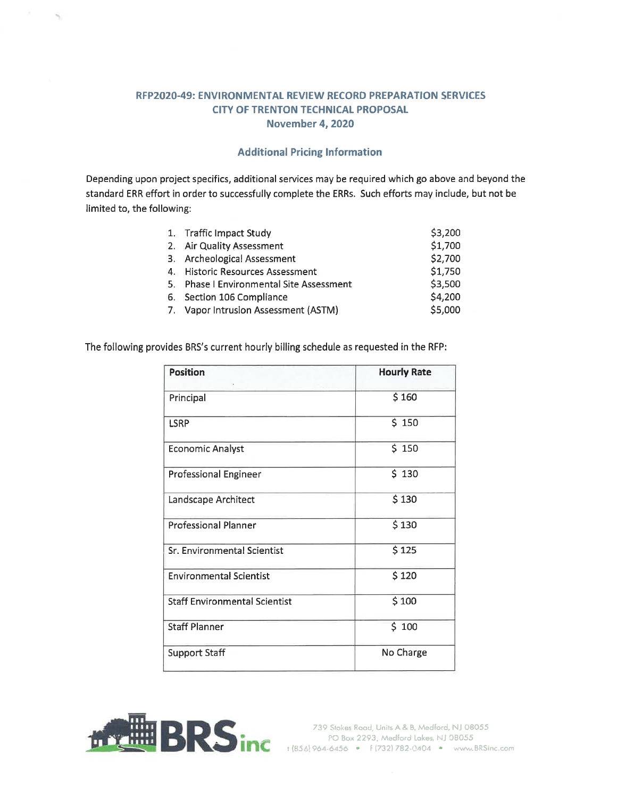#### RFP2020-49: ENVIRONMENTAL REVIEW RECORD PREPARATION SERVICES **CITY OF TRENTON TECHNICAL PROPOSAL November 4, 2020**

## **Additional Pricing Information**

Depending upon project specifics, additional services may be required which go above and beyond the standard ERR effort in order to successfully complete the ERRs. Such efforts may include, but not be limited to, the following:

| 1. Traffic Impact Study                  | \$3,200 |
|------------------------------------------|---------|
| 2. Air Quality Assessment                | \$1,700 |
| 3. Archeological Assessment              | \$2,700 |
| 4. Historic Resources Assessment         | \$1,750 |
| 5. Phase I Environmental Site Assessment | \$3,500 |
| 6. Section 106 Compliance                | \$4,200 |
| 7. Vapor Intrusion Assessment (ASTM)     | \$5,000 |

The following provides BRS's current hourly billing schedule as requested in the RFP:

| <b>Position</b>                      | <b>Hourly Rate</b> |
|--------------------------------------|--------------------|
| Principal                            | \$160              |
| <b>LSRP</b>                          | \$150              |
| <b>Economic Analyst</b>              | \$150              |
| <b>Professional Engineer</b>         | \$130              |
| Landscape Architect                  | \$130              |
| <b>Professional Planner</b>          | \$130              |
| Sr. Environmental Scientist          | \$125              |
| <b>Environmental Scientist</b>       | \$120              |
| <b>Staff Environmental Scientist</b> | \$100              |
| <b>Staff Planner</b>                 | \$100              |
| <b>Support Staff</b>                 | No Charge          |

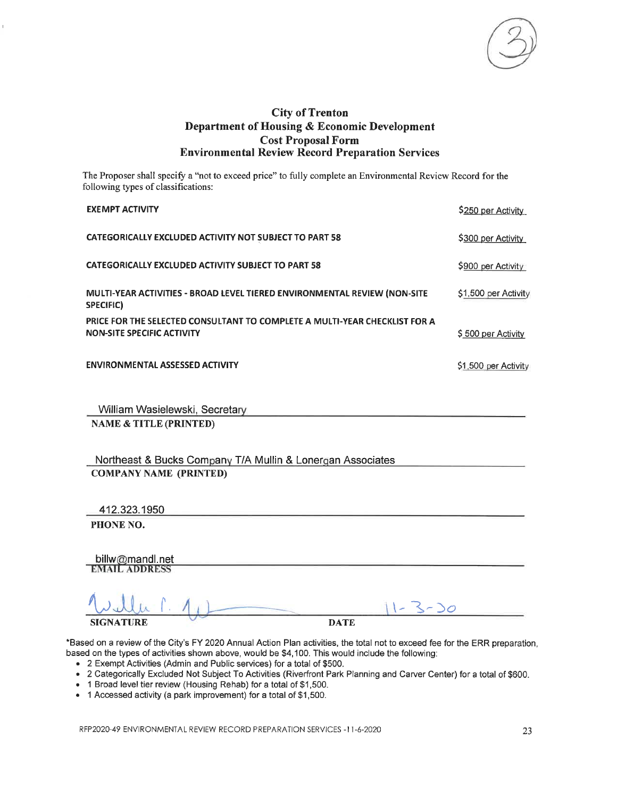

The Proposer shall specify a "not to exceed price" to fully complete an Environmental Review Record for the following types of classifications:

| <b>EXEMPT ACTIVITY</b>                                                                                   | \$250 per Activity   |
|----------------------------------------------------------------------------------------------------------|----------------------|
| CATEGORICALLY EXCLUDED ACTIVITY NOT SUBJECT TO PART 58                                                   | \$300 per Activity   |
| <b>CATEGORICALLY EXCLUDED ACTIVITY SUBJECT TO PART 58</b>                                                | \$900 per Activity   |
| MULTI-YEAR ACTIVITIES - BROAD LEVEL TIERED ENVIRONMENTAL REVIEW (NON-SITE<br>SPECIFIC)                   | \$1,500 per Activity |
| PRICE FOR THE SELECTED CONSULTANT TO COMPLETE A MULTI-YEAR CHECKLIST FOR A<br>NON-SITE SPECIFIC ACTIVITY | \$500 per Activity   |
| <b>ENVIRONMENTAL ASSESSED ACTIVITY</b>                                                                   | \$1,500 per Activity |

William Wasielewski, Secretary

**NAME & TITLE (PRINTED)** 

Northeast & Bucks Company T/A Mullin & Lonergan Associates **COMPANY NAME (PRINTED)** 

412.323.1950

PHONE NO.

billw@mandl.net **EMAIL ADDRESS** 

**SIGN ATURE** 

**DATE** 

\*Based on a review of the City's FY 2020 Annual Action Plan activities, the total not to exceed fee for the ERR preparation, based on the types of activities shown above, would be \$4,100. This would include the following:

- 2 Exempt Activities (Admin and Public services) for a total of \$500.
- . 2 Categorically Excluded Not Subject To Activities (Riverfront Park Planning and Carver Center) for a total of \$600.
- 1 Broad level tier review (Housing Rehab) for a total of \$1,500.
- 1 Accessed activity (a park improvement) for a total of \$1,500.

RFP2020-49 ENVIRONMENTAL REVIEW RECORD PREPARATION SERVICES -11-6-2020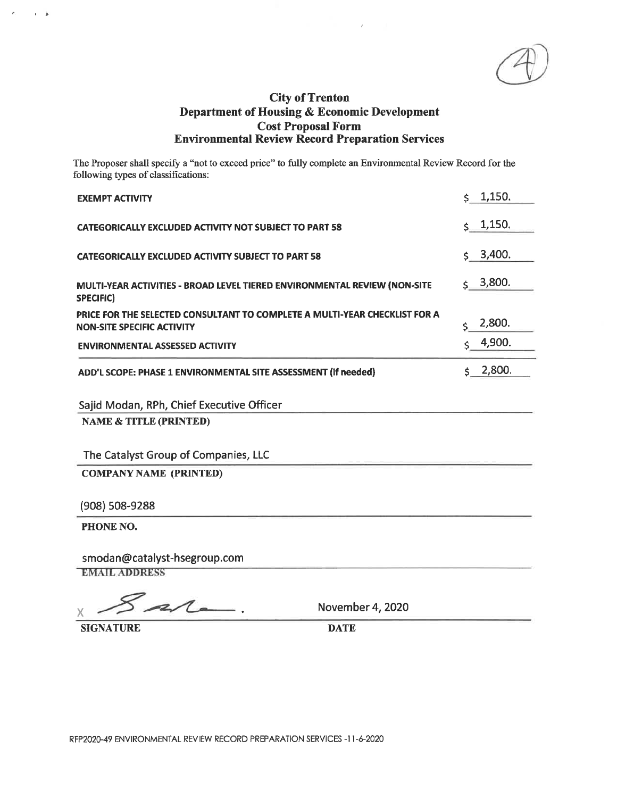The Proposer shall specify a "not to exceed price" to fully complete an Environmental Review Record for the following types of classifications:

| <b>EXEMPT ACTIVITY</b>                                                                                          | 5, 1,150.      |
|-----------------------------------------------------------------------------------------------------------------|----------------|
| <b>CATEGORICALLY EXCLUDED ACTIVITY NOT SUBJECT TO PART 58</b>                                                   | $\zeta$ 1,150. |
| <b>CATEGORICALLY EXCLUDED ACTIVITY SUBJECT TO PART 58</b>                                                       | $\pm$ 3,400.   |
| MULTI-YEAR ACTIVITIES - BROAD LEVEL TIERED ENVIRONMENTAL REVIEW (NON-SITE<br><b>SPECIFIC)</b>                   | 3,800.<br>\$.  |
| PRICE FOR THE SELECTED CONSULTANT TO COMPLETE A MULTI-YEAR CHECKLIST FOR A<br><b>NON-SITE SPECIFIC ACTIVITY</b> | 2,800.<br>\$   |
| <b>ENVIRONMENTAL ASSESSED ACTIVITY</b>                                                                          | 4,900.<br><    |
| ADD'L SCOPE: PHASE 1 ENVIRONMENTAL SITE ASSESSMENT (if needed)                                                  | 2,800.<br>Ś.   |
| Sajid Modan, RPh, Chief Executive Officer                                                                       |                |
| <b>NAME &amp; TITLE (PRINTED)</b>                                                                               |                |
| The Catalyst Group of Companies, LLC                                                                            |                |
| <b>COMPANY NAME (PRINTED)</b>                                                                                   |                |
| (908) 508-9288                                                                                                  |                |
| PHONE NO.                                                                                                       |                |
| smodan@catalyst-hsegroup.com<br><b>EMAIL ADDRESS</b>                                                            |                |
| $\overline{\phantom{a}}$<br>$M = 1$ . $M = 0.000$                                                               |                |

2  $\ddot{\phantom{1}}$ X

November 4, 2020

**SIGNATURE** 

 $\alpha = 3$ 

**DATE**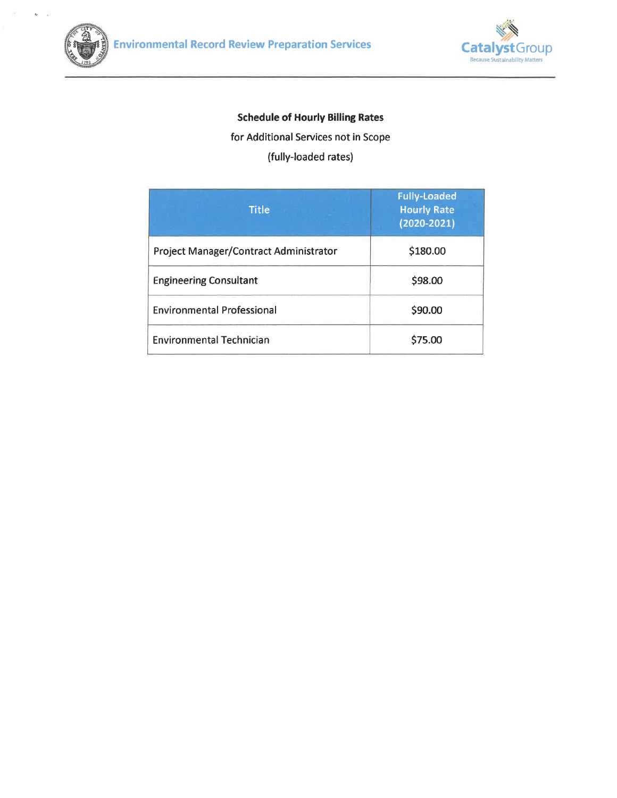

 $\overline{u}$ ¥,



# **Schedule of Hourly Billing Rates**

for Additional Services not in Scope

(fully-loaded rates)

| Title                                         | <b>Fully-Loaded</b><br><b>Hourly Rate</b><br>$(2020 - 2021)$ |
|-----------------------------------------------|--------------------------------------------------------------|
| <b>Project Manager/Contract Administrator</b> | \$180.00                                                     |
| <b>Engineering Consultant</b>                 | \$98.00                                                      |
| <b>Environmental Professional</b>             | \$90.00                                                      |
| <b>Environmental Technician</b>               | \$75.00                                                      |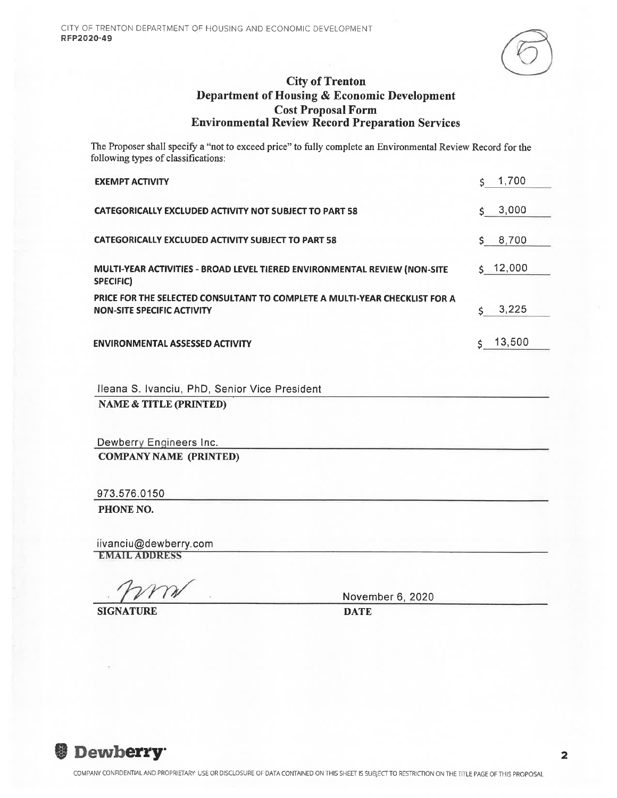The Proposer shall specify a "not to exceed price" to fully complete an Environmental Review Record for the following types of classifications:

| <b>EXEMPT ACTIVITY</b>                                                                                          | 1,700<br>Ś.  |
|-----------------------------------------------------------------------------------------------------------------|--------------|
| <b>CATEGORICALLY EXCLUDED ACTIVITY NOT SUBJECT TO PART 58</b>                                                   | 3,000<br>Ś.  |
| <b>CATEGORICALLY EXCLUDED ACTIVITY SUBJECT TO PART 58</b>                                                       | 8,700<br>Ś.  |
| MULTI-YEAR ACTIVITIES - BROAD LEVEL TIERED ENVIRONMENTAL REVIEW (NON-SITE<br>SPECIFIC)                          | $5 - 12,000$ |
| PRICE FOR THE SELECTED CONSULTANT TO COMPLETE A MULTI-YEAR CHECKLIST FOR A<br><b>NON-SITE SPECIFIC ACTIVITY</b> | 3.225<br>\$. |
| <b>ENVIRONMENTAL ASSESSED ACTIVITY</b>                                                                          | 13,500<br>Ś. |
|                                                                                                                 |              |
| Ileana S. Ivanciu, PhD, Senior Vice President<br><b>NAME &amp; TITLE (PRINTED)</b>                              |              |
|                                                                                                                 |              |

Dewberry Engineers Inc. **COMPANY NAME (PRINTED)** 

973.576.0150

PHONE NO.

iivanciu@dewberry.com **EMAIL ADDRESS** 

**SIGNATURE** 

November 6, 2020

**DATE**